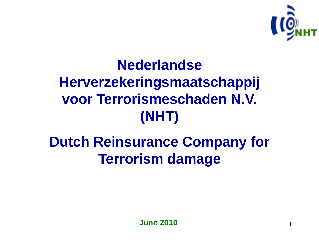

1

# **Nederlandse Herverzekeringsmaatschappij voor Terrorismeschaden N.V. (NHT)**

## **Dutch Reinsurance Company for Terrorism damage**

**June 2010**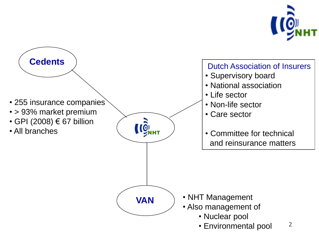

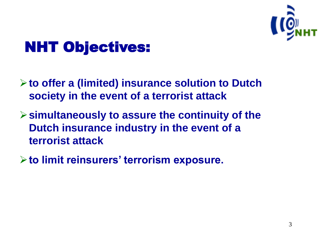

## NHT Objectives:

- **to offer a (limited) insurance solution to Dutch society in the event of a terrorist attack**
- **simultaneously to assure the continuity of the Dutch insurance industry in the event of a terrorist attack**
- **to limit reinsurers' terrorism exposure.**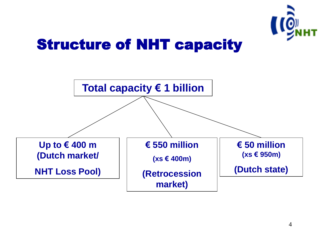

#### Structure of NHT capacity

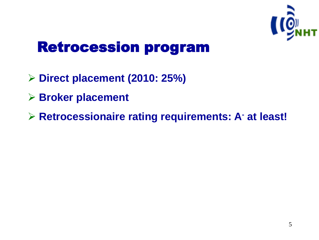

#### Retrocession program

- **Direct placement (2010: 25%)**
- **Broker placement**
- **Retrocessionaire rating requirements: A- at least!**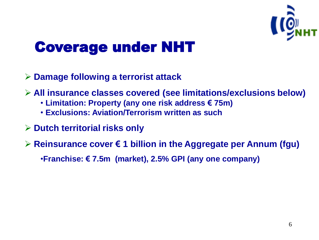

### Coverage under NHT

- **Damage following a terrorist attack**
- **All insurance classes covered (see limitations/exclusions below)**
	- **Limitation: Property (any one risk address € 75m)**
	- **Exclusions: Aviation/Terrorism written as such**
- **Dutch territorial risks only**
- **Reinsurance cover € 1 billion in the Aggregate per Annum (fgu)**

•**Franchise: € 7.5m (market), 2.5% GPI (any one company)**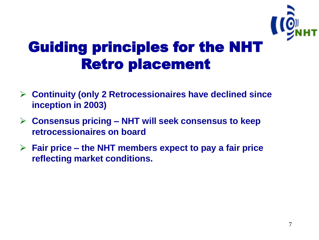

## Guiding principles for the NHT Retro placement

- **Continuity (only 2 Retrocessionaires have declined since inception in 2003)**
- **Consensus pricing – NHT will seek consensus to keep retrocessionaires on board**
- **Fair price – the NHT members expect to pay a fair price reflecting market conditions.**